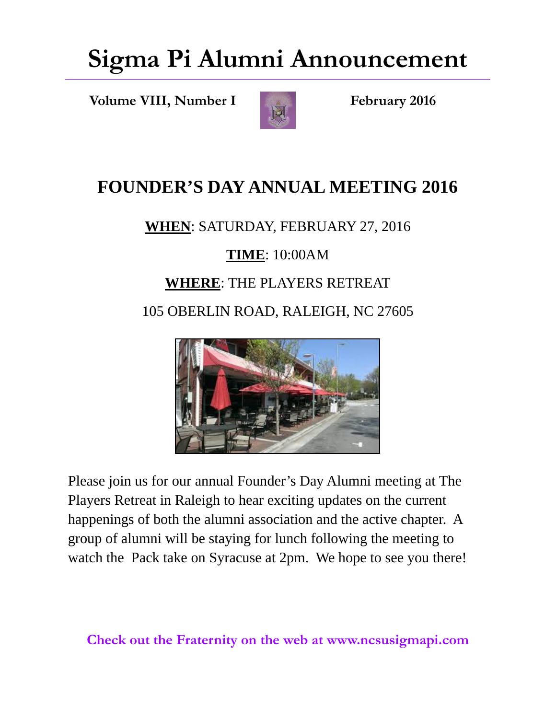## **Sigma Pi Alumni Announcement**

**Volume VIII, Number I February 2016** 



### **FOUNDER'S DAY ANNUAL MEETING 2016**

#### **WHEN**: SATURDAY, FEBRUARY 27, 2016

### **TIME**: 10:00AM

### **WHERE**: THE PLAYERS RETREAT

105 OBERLIN ROAD, RALEIGH, NC 27605



Please join us for our annual Founder's Day Alumni meeting at The Players Retreat in Raleigh to hear exciting updates on the current happenings of both the alumni association and the active chapter. A group of alumni will be staying for lunch following the meeting to watch the Pack take on Syracuse at 2pm. We hope to see you there!

**Check out the Fraternity on the web at www.ncsusigmapi.com**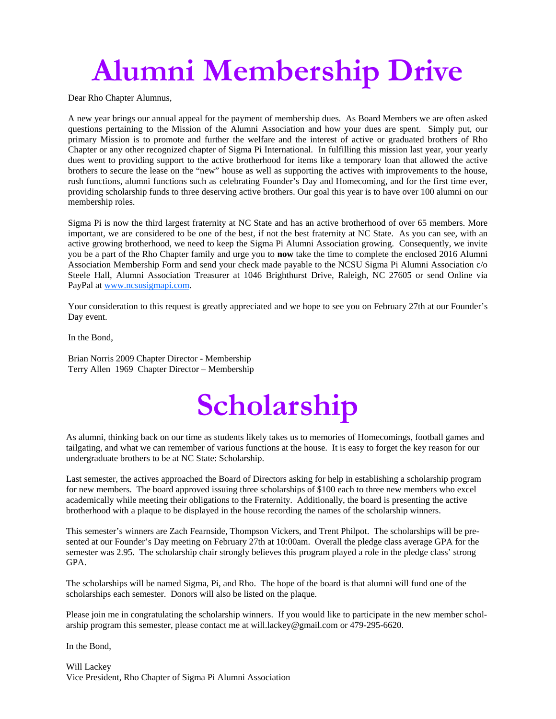# **Alumni Membership Drive**

Dear Rho Chapter Alumnus,

A new year brings our annual appeal for the payment of membership dues. As Board Members we are often asked questions pertaining to the Mission of the Alumni Association and how your dues are spent. Simply put, our primary Mission is to promote and further the welfare and the interest of active or graduated brothers of Rho Chapter or any other recognized chapter of Sigma Pi International. In fulfilling this mission last year, your yearly dues went to providing support to the active brotherhood for items like a temporary loan that allowed the active brothers to secure the lease on the "new" house as well as supporting the actives with improvements to the house, rush functions, alumni functions such as celebrating Founder's Day and Homecoming, and for the first time ever, providing scholarship funds to three deserving active brothers. Our goal this year is to have over 100 alumni on our membership roles.

Sigma Pi is now the third largest fraternity at NC State and has an active brotherhood of over 65 members. More important, we are considered to be one of the best, if not the best fraternity at NC State. As you can see, with an active growing brotherhood, we need to keep the Sigma Pi Alumni Association growing. Consequently, we invite you be a part of the Rho Chapter family and urge you to **now** take the time to complete the enclosed 2016 Alumni Association Membership Form and send your check made payable to the NCSU Sigma Pi Alumni Association c/o Steele Hall, Alumni Association Treasurer at 1046 Brighthurst Drive, Raleigh, NC 27605 or send Online via PayPal at www.ncsusigmapi.com.

Your consideration to this request is greatly appreciated and we hope to see you on February 27th at our Founder's Day event.

In the Bond,

Brian Norris 2009 Chapter Director - Membership Terry Allen 1969 Chapter Director – Membership

## **Scholarship**

As alumni, thinking back on our time as students likely takes us to memories of Homecomings, football games and tailgating, and what we can remember of various functions at the house. It is easy to forget the key reason for our undergraduate brothers to be at NC State: Scholarship.

Last semester, the actives approached the Board of Directors asking for help in establishing a scholarship program for new members. The board approved issuing three scholarships of \$100 each to three new members who excel academically while meeting their obligations to the Fraternity. Additionally, the board is presenting the active brotherhood with a plaque to be displayed in the house recording the names of the scholarship winners.

This semester's winners are Zach Fearnside, Thompson Vickers, and Trent Philpot. The scholarships will be presented at our Founder's Day meeting on February 27th at 10:00am. Overall the pledge class average GPA for the semester was 2.95. The scholarship chair strongly believes this program played a role in the pledge class' strong GPA.

The scholarships will be named Sigma, Pi, and Rho. The hope of the board is that alumni will fund one of the scholarships each semester. Donors will also be listed on the plaque.

Please join me in congratulating the scholarship winners. If you would like to participate in the new member scholarship program this semester, please contact me at will.lackey@gmail.com or 479-295-6620.

In the Bond,

Will Lackey Vice President, Rho Chapter of Sigma Pi Alumni Association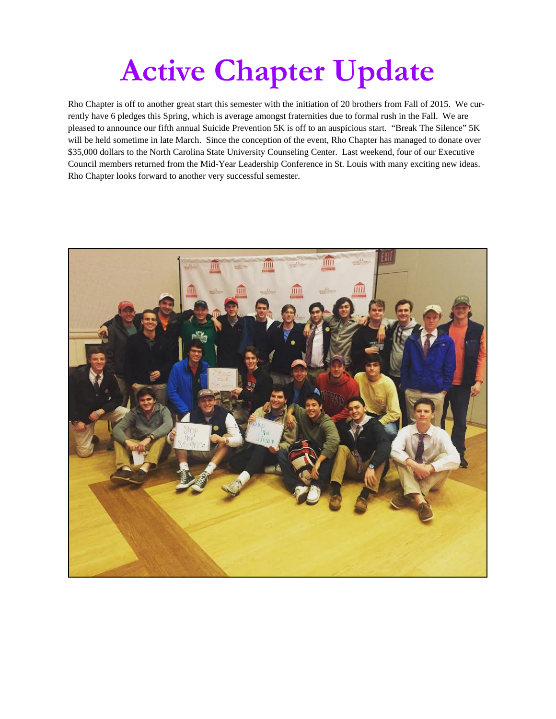# **Active Chapter Update**

Rho Chapter is off to another great start this semester with the initiation of 20 brothers from Fall of 2015. We currently have 6 pledges this Spring, which is average amongst fraternities due to formal rush in the Fall. We are pleased to announce our fifth annual Suicide Prevention 5K is off to an auspicious start. "Break The Silence" 5K will be held sometime in late March. Since the conception of the event, Rho Chapter has managed to donate over \$35,000 dollars to the North Carolina State University Counseling Center. Last weekend, four of our Executive Council members returned from the Mid-Year Leadership Conference in St. Louis with many exciting new ideas. Rho Chapter looks forward to another very successful semester.

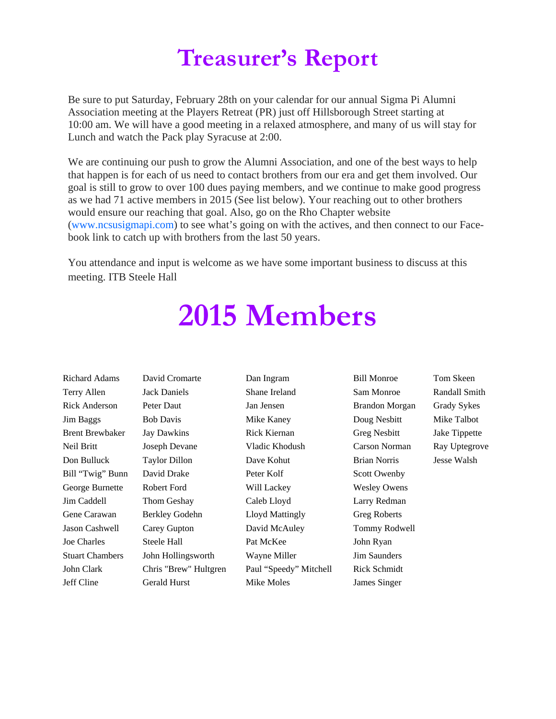### **Treasurer's Report**

Be sure to put Saturday, February 28th on your calendar for our annual Sigma Pi Alumni Association meeting at the Players Retreat (PR) just off Hillsborough Street starting at 10:00 am. We will have a good meeting in a relaxed atmosphere, and many of us will stay for Lunch and watch the Pack play Syracuse at 2:00.

We are continuing our push to grow the Alumni Association, and one of the best ways to help that happen is for each of us need to contact brothers from our era and get them involved. Our goal is still to grow to over 100 dues paying members, and we continue to make good progress as we had 71 active members in 2015 (See list below). Your reaching out to other brothers would ensure our reaching that goal. Also, go on the Rho Chapter website (www.ncsusigmapi.com) to see what's going on with the actives, and then connect to our Facebook link to catch up with brothers from the last 50 years.

You attendance and input is welcome as we have some important business to discuss at this meeting. ITB Steele Hall

## **2015 Members**

Jeff Cline Gerald Hurst Mike Moles James Singer

Richard Adams David Cromarte Dan Ingram Bill Monroe Tom Skeen Terry Allen Jack Daniels Shane Ireland Sam Monroe Randall Smith Rick Anderson Peter Daut Jan Jensen Brandon Morgan Grady Sykes Jim Baggs Bob Davis Mike Kaney Doug Nesbitt Mike Talbot Brent Brewbaker Jay Dawkins Rick Kiernan Greg Nesbitt Jake Tippette Neil Britt Joseph Devane Vladic Khodush Carson Norman Ray Uptegrove Don Bulluck Taylor Dillon Dave Kohut Brian Norris Jesse Walsh Bill "Twig" Bunn David Drake Peter Kolf Scott Owenby George Burnette Robert Ford Will Lackey Wesley Owens Jim Caddell Thom Geshay Caleb Lloyd Larry Redman Gene Carawan Berkley Godehn Lloyd Mattingly Greg Roberts Jason Cashwell Carey Gupton David McAuley Tommy Rodwell Joe Charles Steele Hall Pat McKee John Ryan Stuart Chambers John Hollingsworth Wayne Miller Jim Saunders John Clark Chris "Brew" Hultgren Paul "Speedy" Mitchell Rick Schmidt